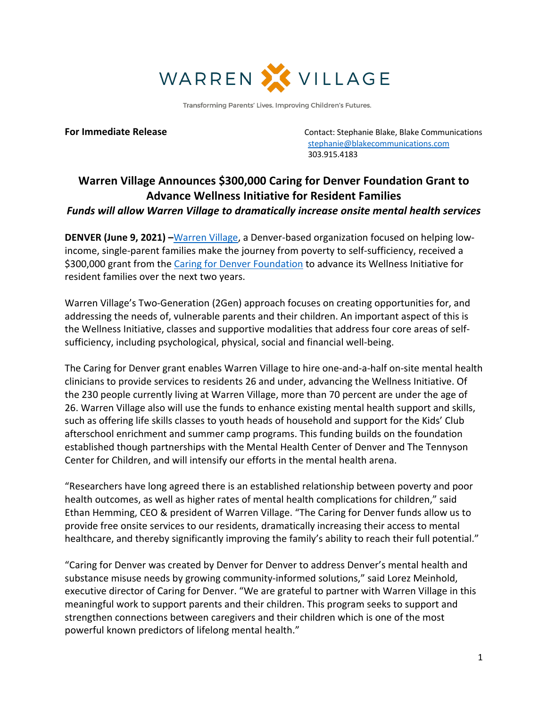

Transforming Parents' Lives. Improving Children's Futures.

**For Immediate Release Contact: Stephanie Blake, Blake Communications**  stephanie@blakecommunications.com 303.915.4183

## **Warren Village Announces \$300,000 Caring for Denver Foundation Grant to Advance Wellness Initiative for Resident Families**

## *Funds will allow Warren Village to dramatically increase onsite mental health services*

**DENVER (June 9, 2021) –**[Warren Village](https://warrenvillage.org/), a Denver-based organization focused on helping lowincome, single-parent families make the journey from poverty to self-sufficiency, received a \$300,000 grant from the [Caring for Denver Foundation](https://caring4denver.org/) to advance its Wellness Initiative for resident families over the next two years.

Warren Village's Two-Generation (2Gen) approach focuses on creating opportunities for, and addressing the needs of, vulnerable parents and their children. An important aspect of this is the Wellness Initiative, classes and supportive modalities that address four core areas of selfsufficiency, including psychological, physical, social and financial well-being.

The Caring for Denver grant enables Warren Village to hire one-and-a-half on-site mental health clinicians to provide services to residents 26 and under, advancing the Wellness Initiative. Of the 230 people currently living at Warren Village, more than 70 percent are under the age of 26. Warren Village also will use the funds to enhance existing mental health support and skills, such as offering life skills classes to youth heads of household and support for the Kids' Club afterschool enrichment and summer camp programs. This funding builds on the foundation established though partnerships with the Mental Health Center of Denver and The Tennyson Center for Children, and will intensify our efforts in the mental health arena.

"Researchers have long agreed there is an established relationship between poverty and poor health outcomes, as well as higher rates of mental health complications for children," said Ethan Hemming, CEO & president of Warren Village. "The Caring for Denver funds allow us to provide free onsite services to our residents, dramatically increasing their access to mental healthcare, and thereby significantly improving the family's ability to reach their full potential."

"Caring for Denver was created by Denver for Denver to address Denver's mental health and substance misuse needs by growing community-informed solutions," said Lorez Meinhold, executive director of Caring for Denver. "We are grateful to partner with Warren Village in this meaningful work to support parents and their children. This program seeks to support and strengthen connections between caregivers and their children which is one of the most powerful known predictors of lifelong mental health."